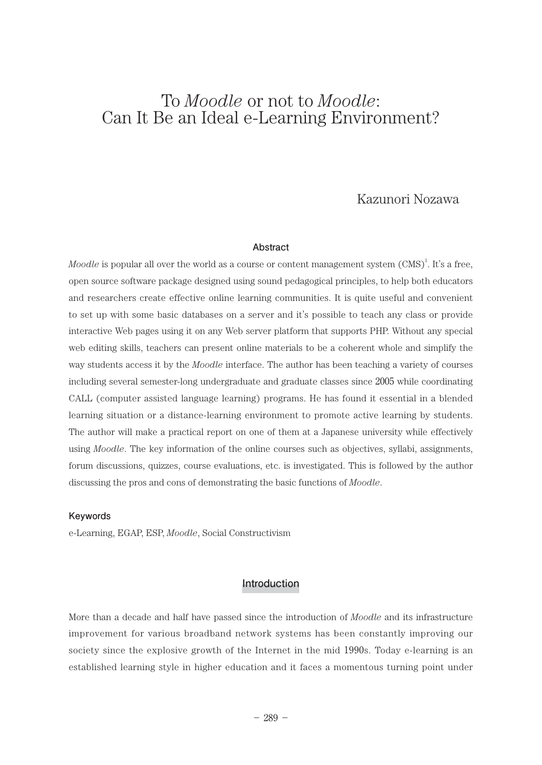# To *Moodle* or not to *Moodle*: Can It Be an Ideal e-Learning Environment?

# Kazunori Nozawa

#### **Abstract**

*Moodle* is popular all over the world as a course or content management system (CMS)<sup>1</sup>. It's a free, open source software package designed using sound pedagogical principles, to help both educators and researchers create effective online learning communities. It is quite useful and convenient to set up with some basic databases on a server and it's possible to teach any class or provide interactive Web pages using it on any Web server platform that supports PHP. Without any special web editing skills, teachers can present online materials to be a coherent whole and simplify the way students access it by the *Moodle* interface. The author has been teaching a variety of courses including several semester-long undergraduate and graduate classes since 2005 while coordinating CALL (computer assisted language learning) programs. He has found it essential in a blended learning situation or a distance-learning environment to promote active learning by students. The author will make a practical report on one of them at a Japanese university while effectively using *Moodle*. The key information of the online courses such as objectives, syllabi, assignments, forum discussions, quizzes, course evaluations, etc. is investigated. This is followed by the author discussing the pros and cons of demonstrating the basic functions of *Moodle*.

#### **Keywords**

e-Learning, EGAP, ESP, *Moodle*, Social Constructivism

## **Introduction**

More than a decade and half have passed since the introduction of *Moodle* and its infrastructure improvement for various broadband network systems has been constantly improving our society since the explosive growth of the Internet in the mid 1990s. Today e-learning is an established learning style in higher education and it faces a momentous turning point under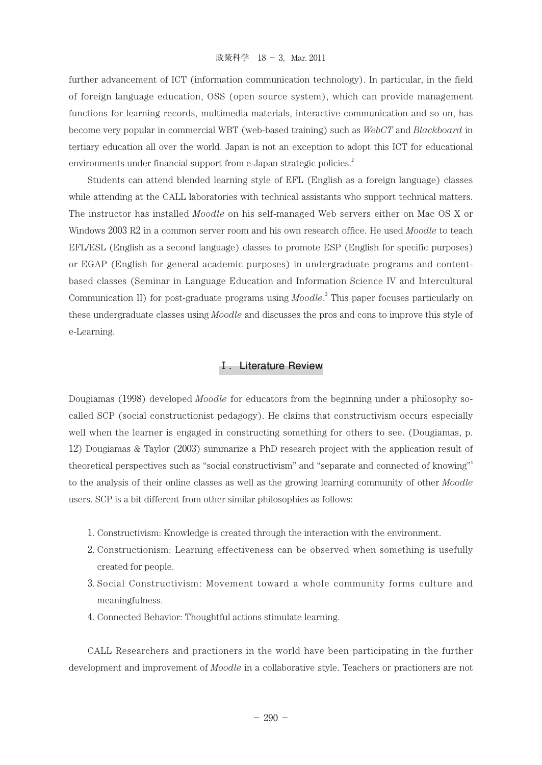further advancement of ICT (information communication technology). In particular, in the field of foreign language education, OSS (open source system), which can provide management functions for learning records, multimedia materials, interactive communication and so on, has become very popular in commercial WBT (web-based training) such as *WebCT* and *Blackboard* in tertiary education all over the world. Japan is not an exception to adopt this ICT for educational environments under financial support from e-Japan strategic policies.<sup>2</sup>

Students can attend blended learning style of EFL (English as a foreign language) classes while attending at the CALL laboratories with technical assistants who support technical matters. The instructor has installed *Moodle* on his self-managed Web servers either on Mac OS X or Windows 2003 R2 in a common server room and his own research office. He used *Moodle* to teach EFL/ESL (English as a second language) classes to promote ESP (English for specific purposes) or EGAP (English for general academic purposes) in undergraduate programs and contentbased classes (Seminar in Language Education and Information Science IV and Intercultural Communication II) for post-graduate programs using *Moodle*. 3 This paper focuses particularly on these undergraduate classes using *Moodle* and discusses the pros and cons to improve this style of e-Learning.

# **Ⅰ.Literature Review**

Dougiamas (1998) developed *Moodle* for educators from the beginning under a philosophy socalled SCP (social constructionist pedagogy). He claims that constructivism occurs especially well when the learner is engaged in constructing something for others to see. (Dougiamas, p. 12) Dougiamas & Taylor (2003) summarize a PhD research project with the application result of theoretical perspectives such as "social constructivism" and "separate and connected of knowing" 4 to the analysis of their online classes as well as the growing learning community of other *Moodle* users. SCP is a bit different from other similar philosophies as follows:

- 1. Constructivism: Knowledge is created through the interaction with the environment.
- 2. Constructionism: Learning effectiveness can be observed when something is usefully created for people.
- 3. Social Constructivism: Movement toward a whole community forms culture and meaningfulness.
- 4. Connected Behavior: Thoughtful actions stimulate learning.

CALL Researchers and practioners in the world have been participating in the further development and improvement of *Moodle* in a collaborative style. Teachers or practioners are not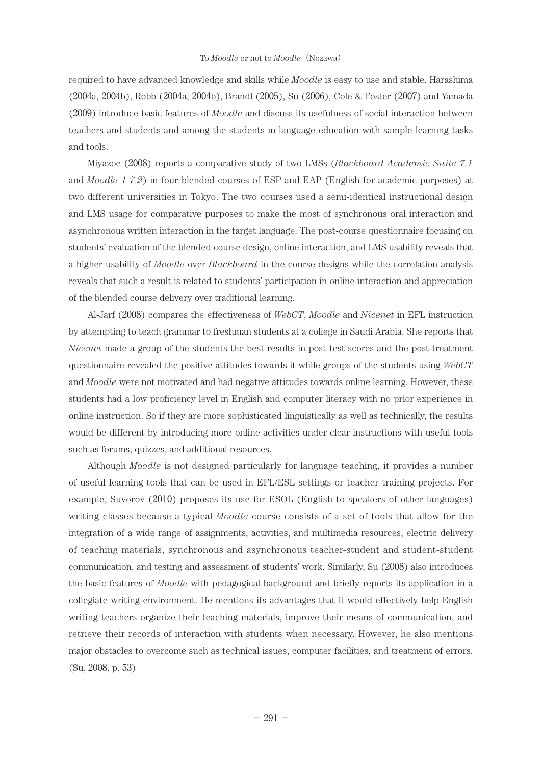required to have advanced knowledge and skills while *Moodle* is easy to use and stable. Harashima (2004a, 2004b), Robb (2004a, 2004b), Brandl (2005), Su (2006), Cole & Foster (2007) and Yamada (2009) introduce basic features of *Moodle* and discuss its usefulness of social interaction between teachers and students and among the students in language education with sample learning tasks and tools.

Miyazoe (2008) reports a comparative study of two LMSs (*Blackboard Academic Suite 7.1* and *Moodle 1.7.2*) in four blended courses of ESP and EAP (English for academic purposes) at two different universities in Tokyo. The two courses used a semi-identical instructional design and LMS usage for comparative purposes to make the most of synchronous oral interaction and asynchronous written interaction in the target language. The post-course questionnaire focusing on students' evaluation of the blended course design, online interaction, and LMS usability reveals that a higher usability of *Moodle* over *Blackboard* in the course designs while the correlation analysis reveals that such a result is related to students' participation in online interaction and appreciation of the blended course delivery over traditional learning.

Al-Jarf (2008) compares the effectiveness of *WebCT*, *Moodle* and *Nicenet* in EFL instruction by attempting to teach grammar to freshman students at a college in Saudi Arabia. She reports that *Nicenet* made a group of the students the best results in post-test scores and the post-treatment questionnaire revealed the positive attitudes towards it while groups of the students using *WebCT* and *Moodle* were not motivated and had negative attitudes towards online learning. However, these students had a low proficiency level in English and computer literacy with no prior experience in online instruction. So if they are more sophisticated linguistically as well as technically, the results would be different by introducing more online activities under clear instructions with useful tools such as forums, quizzes, and additional resources.

Although *Moodle* is not designed particularly for language teaching, it provides a number of useful learning tools that can be used in EFL/ESL settings or teacher training projects. For example, Suvorov (2010) proposes its use for ESOL (English to speakers of other languages) writing classes because a typical *Moodle* course consists of a set of tools that allow for the integration of a wide range of assignments, activities, and multimedia resources, electric delivery of teaching materials, synchronous and asynchronous teacher-student and student-student communication, and testing and assessment of students' work. Similarly, Su (2008) also introduces the basic features of *Moodle* with pedagogical background and briefly reports its application in a collegiate writing environment. He mentions its advantages that it would effectively help English writing teachers organize their teaching materials, improve their means of communication, and retrieve their records of interaction with students when necessary. However, he also mentions major obstacles to overcome such as technical issues, computer facilities, and treatment of errors. (Su, 2008, p. 53)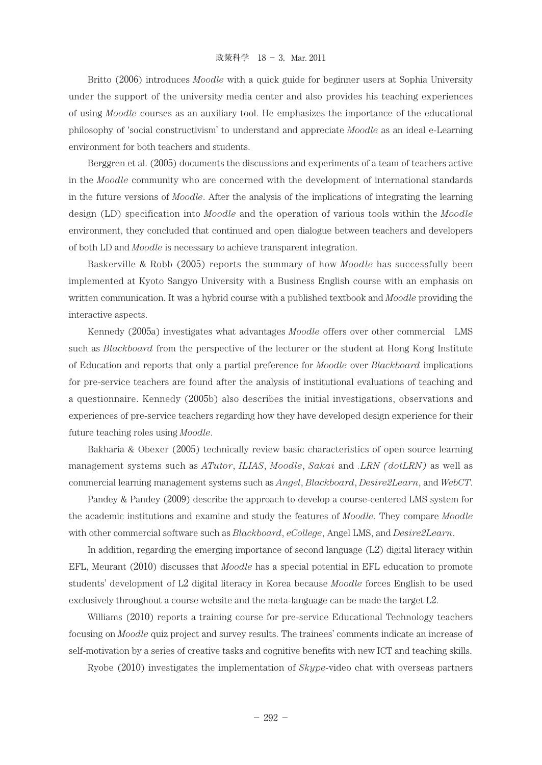Britto (2006) introduces *Moodle* with a quick guide for beginner users at Sophia University under the support of the university media center and also provides his teaching experiences of using *Moodle* courses as an auxiliary tool. He emphasizes the importance of the educational philosophy of 'social constructivism' to understand and appreciate *Moodle* as an ideal e-Learning environment for both teachers and students.

Berggren et al. (2005) documents the discussions and experiments of a team of teachers active in the *Moodle* community who are concerned with the development of international standards in the future versions of *Moodle*. After the analysis of the implications of integrating the learning design (LD) specification into *Moodle* and the operation of various tools within the *Moodle* environment, they concluded that continued and open dialogue between teachers and developers of both LD and *Moodle* is necessary to achieve transparent integration.

Baskerville & Robb (2005) reports the summary of how *Moodle* has successfully been implemented at Kyoto Sangyo University with a Business English course with an emphasis on written communication. It was a hybrid course with a published textbook and *Moodle* providing the interactive aspects.

Kennedy (2005a) investigates what advantages *Moodle* offers over other commercial LMS such as *Blackboard* from the perspective of the lecturer or the student at Hong Kong Institute of Education and reports that only a partial preference for *Moodle* over *Blackboard* implications for pre-service teachers are found after the analysis of institutional evaluations of teaching and a questionnaire. Kennedy (2005b) also describes the initial investigations, observations and experiences of pre-service teachers regarding how they have developed design experience for their future teaching roles using *Moodle*.

Bakharia & Obexer (2005) technically review basic characteristics of open source learning management systems such as *ATutor*, *ILIAS*, *Moodle*, *Sakai* and *.LRN (dotLRN)* as well as commercial learning management systems such as *Angel*, *Blackboard*, *Desire2Learn*, and *WebCT*.

Pandey & Pandey (2009) describe the approach to develop a course-centered LMS system for the academic institutions and examine and study the features of *Moodle*. They compare *Moodle* with other commercial software such as *Blackboard*, *eCollege*, Angel LMS, and *Desire2Learn*.

In addition, regarding the emerging importance of second language (L2) digital literacy within EFL, Meurant (2010) discusses that *Moodle* has a special potential in EFL education to promote students' development of L2 digital literacy in Korea because *Moodle* forces English to be used exclusively throughout a course website and the meta-language can be made the target L2.

Williams (2010) reports a training course for pre-service Educational Technology teachers focusing on *Moodle* quiz project and survey results. The trainees' comments indicate an increase of self-motivation by a series of creative tasks and cognitive benefits with new ICT and teaching skills.

Ryobe (2010) investigates the implementation of *Skype*-video chat with overseas partners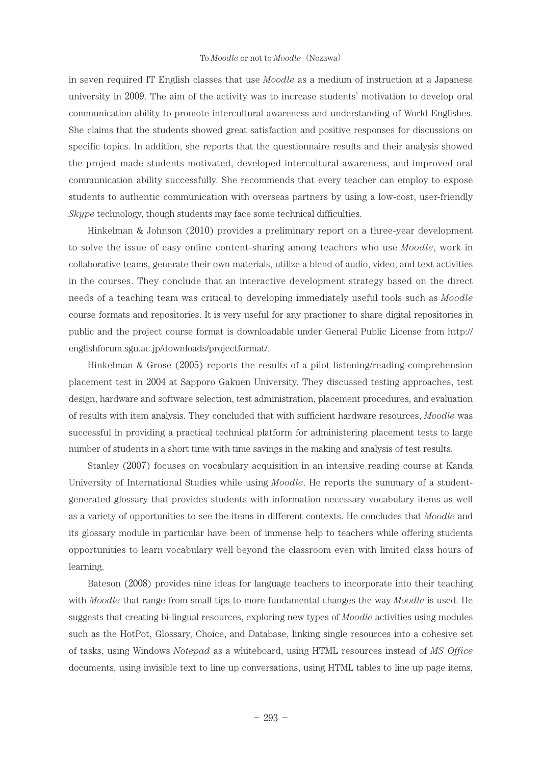in seven required IT English classes that use *Moodle* as a medium of instruction at a Japanese university in 2009. The aim of the activity was to increase students' motivation to develop oral communication ability to promote intercultural awareness and understanding of World Englishes. She claims that the students showed great satisfaction and positive responses for discussions on specific topics. In addition, she reports that the questionnaire results and their analysis showed the project made students motivated, developed intercultural awareness, and improved oral communication ability successfully. She recommends that every teacher can employ to expose students to authentic communication with overseas partners by using a low-cost, user-friendly *Skype* technology, though students may face some technical difficulties.

Hinkelman & Johnson (2010) provides a preliminary report on a three-year development to solve the issue of easy online content-sharing among teachers who use *Moodle*, work in collaborative teams, generate their own materials, utilize a blend of audio, video, and text activities in the courses. They conclude that an interactive development strategy based on the direct needs of a teaching team was critical to developing immediately useful tools such as *Moodle* course formats and repositories. It is very useful for any practioner to share digital repositories in public and the project course format is downloadable under General Public License from http:// englishforum.sgu.ac.jp/downloads/projectformat/.

Hinkelman & Grose (2005) reports the results of a pilot listening/reading comprehension placement test in 2004 at Sapporo Gakuen University. They discussed testing approaches, test design, hardware and software selection, test administration, placement procedures, and evaluation of results with item analysis. They concluded that with sufficient hardware resources, *Moodle* was successful in providing a practical technical platform for administering placement tests to large number of students in a short time with time savings in the making and analysis of test results.

Stanley (2007) focuses on vocabulary acquisition in an intensive reading course at Kanda University of International Studies while using *Moodle*. He reports the summary of a studentgenerated glossary that provides students with information necessary vocabulary items as well as a variety of opportunities to see the items in different contexts. He concludes that *Moodle* and its glossary module in particular have been of immense help to teachers while offering students opportunities to learn vocabulary well beyond the classroom even with limited class hours of learning.

Bateson (2008) provides nine ideas for language teachers to incorporate into their teaching with *Moodle* that range from small tips to more fundamental changes the way *Moodle* is used. He suggests that creating bi-lingual resources, exploring new types of *Moodle* activities using modules such as the HotPot, Glossary, Choice, and Database, linking single resources into a cohesive set of tasks, using Windows *Notepad* as a whiteboard, using HTML resources instead of *MS Office*  documents, using invisible text to line up conversations, using HTML tables to line up page items,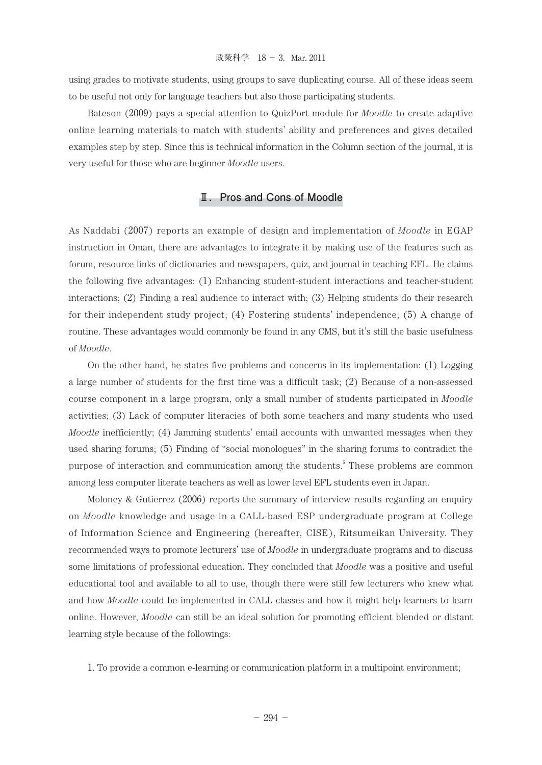using grades to motivate students, using groups to save duplicating course. All of these ideas seem to be useful not only for language teachers but also those participating students.

Bateson (2009) pays a special attention to QuizPort module for *Moodle* to create adaptive online learning materials to match with students' ability and preferences and gives detailed examples step by step. Since this is technical information in the Column section of the journal, it is very useful for those who are beginner *Moodle* users.

# **Ⅱ.Pros and Cons of Moodle**

As Naddabi (2007) reports an example of design and implementation of *Moodle* in EGAP instruction in Oman, there are advantages to integrate it by making use of the features such as forum, resource links of dictionaries and newspapers, quiz, and journal in teaching EFL. He claims the following five advantages: (1) Enhancing student-student interactions and teacher-student interactions; (2) Finding a real audience to interact with; (3) Helping students do their research for their independent study project; (4) Fostering students' independence; (5) A change of routine. These advantages would commonly be found in any CMS, but it's still the basic usefulness of *Moodle*.

On the other hand, he states five problems and concerns in its implementation: (1) Logging a large number of students for the first time was a difficult task; (2) Because of a non-assessed course component in a large program, only a small number of students participated in *Moodle* activities; (3) Lack of computer literacies of both some teachers and many students who used *Moodle* inefficiently; (4) Jamming students' email accounts with unwanted messages when they used sharing forums; (5) Finding of "social monologues" in the sharing forums to contradict the purpose of interaction and communication among the students.<sup>5</sup> These problems are common among less computer literate teachers as well as lower level EFL students even in Japan.

Moloney & Gutierrez (2006) reports the summary of interview results regarding an enquiry on *Moodle* knowledge and usage in a CALL-based ESP undergraduate program at College of Information Science and Engineering (hereafter, CISE), Ritsumeikan University. They recommended ways to promote lecturers' use of *Moodle* in undergraduate programs and to discuss some limitations of professional education. They concluded that *Moodle* was a positive and useful educational tool and available to all to use, though there were still few lecturers who knew what and how *Moodle* could be implemented in CALL classes and how it might help learners to learn online. However, *Moodle* can still be an ideal solution for promoting efficient blended or distant learning style because of the followings:

1. To provide a common e-learning or communication platform in a multipoint environment;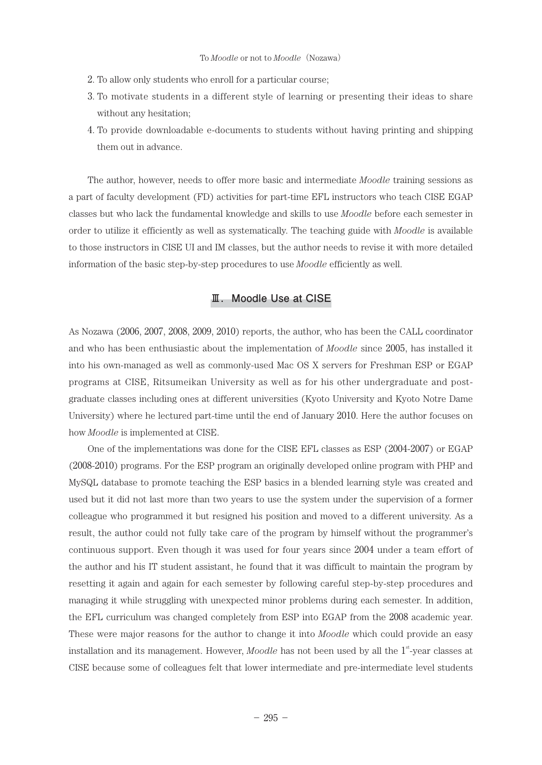- 2. To allow only students who enroll for a particular course;
- 3. To motivate students in a different style of learning or presenting their ideas to share without any hesitation;
- 4. To provide downloadable e-documents to students without having printing and shipping them out in advance.

The author, however, needs to offer more basic and intermediate *Moodle* training sessions as a part of faculty development (FD) activities for part-time EFL instructors who teach CISE EGAP classes but who lack the fundamental knowledge and skills to use *Moodle* before each semester in order to utilize it efficiently as well as systematically. The teaching guide with *Moodle* is available to those instructors in CISE UI and IM classes, but the author needs to revise it with more detailed information of the basic step-by-step procedures to use *Moodle* efficiently as well.

## **Ⅲ.Moodle Use at CISE**

As Nozawa (2006, 2007, 2008, 2009, 2010) reports, the author, who has been the CALL coordinator and who has been enthusiastic about the implementation of *Moodle* since 2005, has installed it into his own-managed as well as commonly-used Mac OS X servers for Freshman ESP or EGAP programs at CISE, Ritsumeikan University as well as for his other undergraduate and postgraduate classes including ones at different universities (Kyoto University and Kyoto Notre Dame University) where he lectured part-time until the end of January 2010. Here the author focuses on how *Moodle* is implemented at CISE.

One of the implementations was done for the CISE EFL classes as ESP (2004-2007) or EGAP (2008-2010) programs. For the ESP program an originally developed online program with PHP and MySQL database to promote teaching the ESP basics in a blended learning style was created and used but it did not last more than two years to use the system under the supervision of a former colleague who programmed it but resigned his position and moved to a different university. As a result, the author could not fully take care of the program by himself without the programmer's continuous support. Even though it was used for four years since 2004 under a team effort of the author and his IT student assistant, he found that it was difficult to maintain the program by resetting it again and again for each semester by following careful step-by-step procedures and managing it while struggling with unexpected minor problems during each semester. In addition, the EFL curriculum was changed completely from ESP into EGAP from the 2008 academic year. These were major reasons for the author to change it into *Moodle* which could provide an easy installation and its management. However, *Moodle* has not been used by all the 1<sup>st</sup>-year classes at CISE because some of colleagues felt that lower intermediate and pre-intermediate level students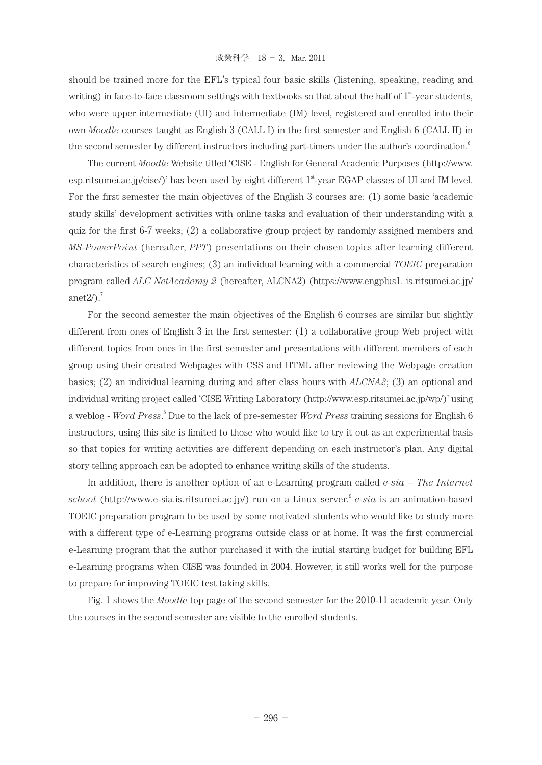should be trained more for the EFL's typical four basic skills (listening, speaking, reading and writing) in face-to-face classroom settings with textbooks so that about the half of  $1<sup>{st</sup>}$ -year students, who were upper intermediate (UI) and intermediate (IM) level, registered and enrolled into their own *Moodle* courses taught as English 3 (CALL I) in the first semester and English 6 (CALL II) in the second semester by different instructors including part-timers under the author's coordination.<sup>6</sup>

The current *Moodle* Website titled 'CISE - English for General Academic Purposes (http://www. esp.ritsumei.ac.jp/cise/)' has been used by eight different  $1<sup>st</sup>$ -year EGAP classes of UI and IM level. For the first semester the main objectives of the English 3 courses are: (1) some basic 'academic study skills' development activities with online tasks and evaluation of their understanding with a quiz for the first 6-7 weeks; (2) a collaborative group project by randomly assigned members and *MS-PowerPoint* (hereafter, *PPT*) presentations on their chosen topics after learning different characteristics of search engines; (3) an individual learning with a commercial *TOEIC* preparation program called *ALC NetAcademy 2* (hereafter, ALCNA2) (https://www.engplus1. is.ritsumei.ac.jp/ anet $2/\lambda$ .<sup>7</sup>

For the second semester the main objectives of the English 6 courses are similar but slightly different from ones of English 3 in the first semester: (1) a collaborative group Web project with different topics from ones in the first semester and presentations with different members of each group using their created Webpages with CSS and HTML after reviewing the Webpage creation basics; (2) an individual learning during and after class hours with *ALCNA2*; (3) an optional and individual writing project called 'CISE Writing Laboratory (http://www.esp.ritsumei.ac.jp/wp/)' using a weblog - *Word Press*. $^8$  Due to the lack of pre-semester *Word Press* training sessions for English 6 instructors, using this site is limited to those who would like to try it out as an experimental basis so that topics for writing activities are different depending on each instructor's plan. Any digital story telling approach can be adopted to enhance writing skills of the students.

In addition, there is another option of an e-Learning program called *e-sia – The Internet school* (http://www.e-sia.is.ritsumei.ac.jp/) run on a Linux server.<sup>9</sup> *e-sia* is an animation-based TOEIC preparation program to be used by some motivated students who would like to study more with a different type of e-Learning programs outside class or at home. It was the first commercial e-Learning program that the author purchased it with the initial starting budget for building EFL e-Learning programs when CISE was founded in 2004. However, it still works well for the purpose to prepare for improving TOEIC test taking skills.

Fig. 1 shows the *Moodle* top page of the second semester for the 2010-11 academic year. Only the courses in the second semester are visible to the enrolled students.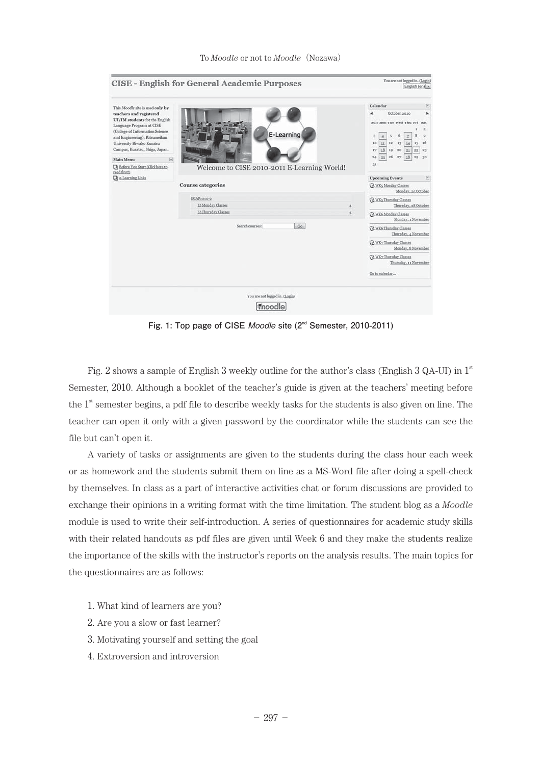|                                                                                                                                 | <b>CISE - English for General Academic Purposes</b> | You are not logged in. (Login)<br>English (en) -                                                                          |
|---------------------------------------------------------------------------------------------------------------------------------|-----------------------------------------------------|---------------------------------------------------------------------------------------------------------------------------|
| This Moodle site is used only by<br>teachers and registered<br>UI/IM students for the English<br>Language Program at CISE       |                                                     | Calendar<br>EI.<br>October 2010<br>$\blacktriangleleft$<br>r<br>Sun Mon Tue Wed Thu Fri Sat<br>a                          |
| (College of Information Science<br>and Engineering), Ritsumeikan<br>University Biwako Kusatsu<br>Campus, Kusatsu, Shiga, Japan. | E-Learning                                          | $\circ$<br>з<br>12<br>10<br>13<br>11<br>14<br>15.<br>16<br>17<br>18<br>19 <sup>°</sup><br>20<br>22   23<br>21<br>26<br>27 |
| Main Menu<br>$\Box$<br><b>D</b> Before You Start (Click here to                                                                 | Welcome to CISE 2010-2011 E-Learning World!         | 28<br>24<br>25<br>30<br>29<br>31                                                                                          |
| read first?)<br><b>Che-Learning Links</b>                                                                                       |                                                     | <b>Upcoming Events</b><br>e                                                                                               |
|                                                                                                                                 | <b>Course</b> categories                            | <b>GI WKs Monday Classes</b><br>Monday, 25 October                                                                        |
|                                                                                                                                 | EGAP2010-2                                          | 3 WKs Thursday Classes                                                                                                    |
|                                                                                                                                 | E6 Monday Classes<br>E6 Thursday Classes            | Thursday, 28 October                                                                                                      |
|                                                                                                                                 |                                                     | (b) WK6 Monday Classes<br>Monday, 1 November                                                                              |
|                                                                                                                                 | Search courses:<br>Go                               | <b>B</b> WK6 Thursday Classes<br>Thursday, 4 November                                                                     |
|                                                                                                                                 |                                                     | WK2 Thursday Classes<br>Monday, 8 November                                                                                |
|                                                                                                                                 |                                                     | <b>G WK2 Thursday Classes</b><br>Thursday, 11 November                                                                    |
|                                                                                                                                 |                                                     | Go to calendar                                                                                                            |
|                                                                                                                                 | You are not logged in. (Login)<br>moodle            |                                                                                                                           |

**Fig. 1: Top page of CISE** *Moodle* **site (2nd Semester, 2010-2011)**

Fig. 2 shows a sample of English 3 weekly outline for the author's class (English 3 QA-UI) in  $1^\mathrm{s}$ Semester, 2010. Although a booklet of the teacher's guide is given at the teachers' meeting before the  $1<sup>st</sup>$  semester begins, a pdf file to describe weekly tasks for the students is also given on line. The teacher can open it only with a given password by the coordinator while the students can see the file but can't open it.

A variety of tasks or assignments are given to the students during the class hour each week or as homework and the students submit them on line as a MS-Word file after doing a spell-check by themselves. In class as a part of interactive activities chat or forum discussions are provided to exchange their opinions in a writing format with the time limitation. The student blog as a *Moodle* module is used to write their self-introduction. A series of questionnaires for academic study skills with their related handouts as pdf files are given until Week 6 and they make the students realize the importance of the skills with the instructor's reports on the analysis results. The main topics for the questionnaires are as follows:

- 1. What kind of learners are you?
- 2. Are you a slow or fast learner?
- 3. Motivating yourself and setting the goal
- 4. Extroversion and introversion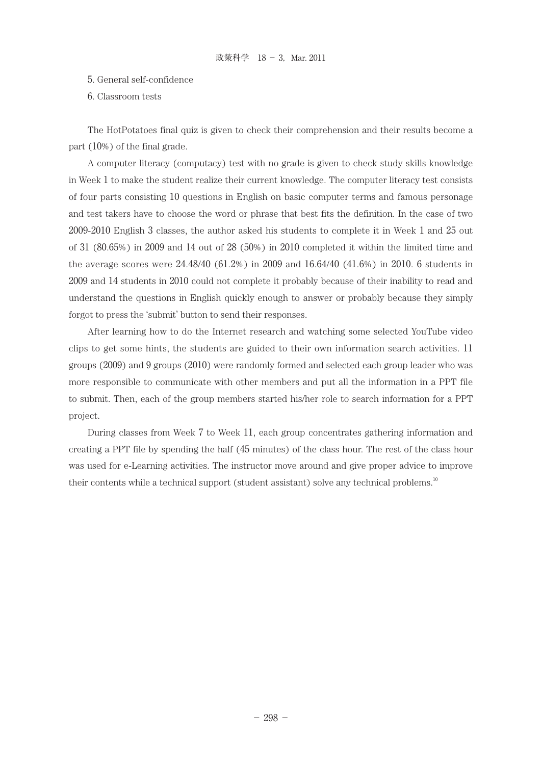- 5. General self-confidence
- 6. Classroom tests

The HotPotatoes final quiz is given to check their comprehension and their results become a part (10%) of the final grade.

A computer literacy (computacy) test with no grade is given to check study skills knowledge in Week 1 to make the student realize their current knowledge. The computer literacy test consists of four parts consisting 10 questions in English on basic computer terms and famous personage and test takers have to choose the word or phrase that best fits the definition. In the case of two 2009-2010 English 3 classes, the author asked his students to complete it in Week 1 and 25 out of 31 (80.65%) in 2009 and 14 out of 28 (50%) in 2010 completed it within the limited time and the average scores were 24.48/40 (61.2%) in 2009 and 16.64/40 (41.6%) in 2010. 6 students in 2009 and 14 students in 2010 could not complete it probably because of their inability to read and understand the questions in English quickly enough to answer or probably because they simply forgot to press the 'submit' button to send their responses.

After learning how to do the Internet research and watching some selected YouTube video clips to get some hints, the students are guided to their own information search activities. 11 groups (2009) and 9 groups (2010) were randomly formed and selected each group leader who was more responsible to communicate with other members and put all the information in a PPT file to submit. Then, each of the group members started his/her role to search information for a PPT project.

During classes from Week 7 to Week 11, each group concentrates gathering information and creating a PPT file by spending the half (45 minutes) of the class hour. The rest of the class hour was used for e-Learning activities. The instructor move around and give proper advice to improve their contents while a technical support (student assistant) solve any technical problems.<sup>10</sup>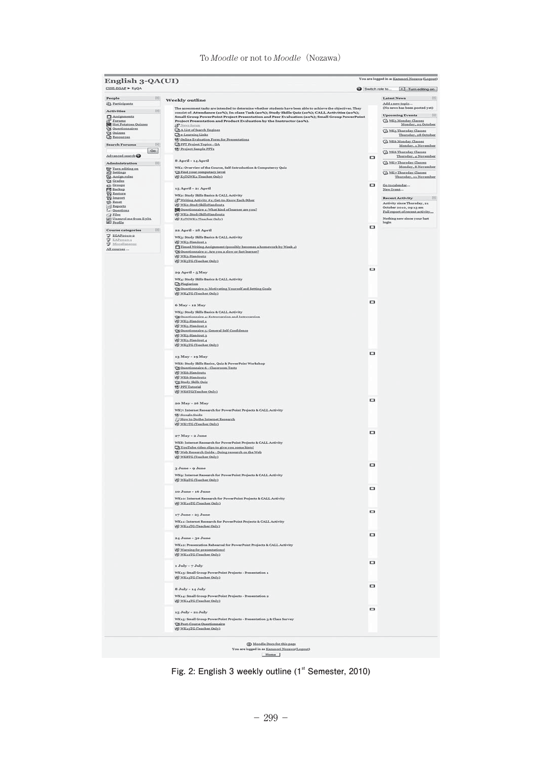|                                                                                                                                                                                                                                                                                                 | English 3-QA(UI)                                                                                                                                                                                                                                                                                                                                                                              |        |                                                                                                                             |
|-------------------------------------------------------------------------------------------------------------------------------------------------------------------------------------------------------------------------------------------------------------------------------------------------|-----------------------------------------------------------------------------------------------------------------------------------------------------------------------------------------------------------------------------------------------------------------------------------------------------------------------------------------------------------------------------------------------|--------|-----------------------------------------------------------------------------------------------------------------------------|
| CISE-EGAP = $E_0QA$                                                                                                                                                                                                                                                                             |                                                                                                                                                                                                                                                                                                                                                                                               |        | Switch role to [m] Turn editing on                                                                                          |
| $\begin{array}{c} \begin{array}{c} \begin{array}{c} \begin{array}{c} \end{array} \\ \end{array} \end{array} \end{array} \end{array} \begin{array}{c} \begin{array}{c} \begin{array}{c} \begin{array}{c} \end{array} \end{array} \end{array} \end{array}$<br>People<br><sup>2</sup> Participants | <b>Weekly outline</b>                                                                                                                                                                                                                                                                                                                                                                         |        | $\sim$ 81<br>Latest News<br>Add a new topic                                                                                 |
| $\begin{tabular}{ll} Activities & \quad \quad & \quad \quad & \quad \quad & \quad \quad \\ \end{tabular}$<br>$\Box$ Assignments                                                                                                                                                                 | The assessment tasks are intended to determine whether students have been able to achieve the objectives. They<br>consist of: Attendance (10%); In-class Task (20%); Study Skills Quiz (10%); CALL Activities (20%);<br>Small Group PowerPoint Project Presentation and Peer Evaluation (20%); Small Group PowerPoint<br>Project Presentation and Product Evaluation by the Instructor (ao%). |        | (No news has been posted yet)<br><b>Upcoming Events</b><br>$[ \; \; \Xi \; ]$<br>A WKs Monday Classes<br>Monday, as October |
| S <sup>3</sup> Forums<br><b>Not Potatoes Onizzes</b><br>Q3 Questionnaires<br><b>CE Quizzes</b><br>Ca Resources                                                                                                                                                                                  | & News focum<br><b>QAList of Search Engines</b><br><b>Che-Learning Links</b><br>(9) Online Evaluation Form for Presentations                                                                                                                                                                                                                                                                  |        | C WKs Thursday Classes<br>Thursday, e8 October                                                                              |
| <b>Search Forums</b><br>$\frac{1}{2}$                                                                                                                                                                                                                                                           | <b>ChPFT</b> Project Topics - OA                                                                                                                                                                                                                                                                                                                                                              |        | C WK6 Monday Classes<br>Monday, a November                                                                                  |
| Ga                                                                                                                                                                                                                                                                                              | D. Project Sample PPTs                                                                                                                                                                                                                                                                                                                                                                        |        | X NK6 Thursday Classes                                                                                                      |
| Advanced.search <sup>O</sup>                                                                                                                                                                                                                                                                    | 8 April - 14 April                                                                                                                                                                                                                                                                                                                                                                            | $\Box$ | Thursday, a November<br>WK2 Thursday Classes                                                                                |
| Administration [5]<br>Turn editing on                                                                                                                                                                                                                                                           | WK1: Overview of the Course, Self-Introduction & Computercy Quiz                                                                                                                                                                                                                                                                                                                              |        | Monday, 8 November                                                                                                          |
| <b>Ed Settings</b><br><b>72 Assign roles</b><br>G Grades<br>et Grospa                                                                                                                                                                                                                           | <b>CAFind</b> your computacy level.<br><b>WE ESTGWKs (Teacher Only)</b>                                                                                                                                                                                                                                                                                                                       | ۰      | A NK7 Thursday Classes<br>Thursday, 11 November<br>Go to calendar                                                           |
| <b>FS</b> Backup<br><b>TO</b> Restore                                                                                                                                                                                                                                                           | 15 April - 21 April                                                                                                                                                                                                                                                                                                                                                                           |        | New Event                                                                                                                   |
| <b>TO</b> Import                                                                                                                                                                                                                                                                                | WKa: Study Skills Basics & CALL Activity<br>S' Writing Activity #11 Get to Know Each Other                                                                                                                                                                                                                                                                                                    |        | Recent Activity <b>E</b>                                                                                                    |
| <b>SS Reast</b><br><b>Ed Reports</b>                                                                                                                                                                                                                                                            | W.WKz.StudySkillsHandouts                                                                                                                                                                                                                                                                                                                                                                     |        | Activity since Thursday, 21<br>October 2010, 09:13 ar                                                                       |
| Le) Questions<br>$-2$ Eiles                                                                                                                                                                                                                                                                     | [8] Ouestionnaire a: What kind of learner are you?<br>Al WKa-StudySkillsHandoutz                                                                                                                                                                                                                                                                                                              |        | Full report of recent activity                                                                                              |
| (g) Uneared me from E30A<br>(g) Profile                                                                                                                                                                                                                                                         | W ESTGWKa (Teacher Only)                                                                                                                                                                                                                                                                                                                                                                      |        | Nothing new since your last<br>login                                                                                        |
| Course categories $\qquad \qquad \Box$                                                                                                                                                                                                                                                          | aa April - a8 April                                                                                                                                                                                                                                                                                                                                                                           | $\Box$ |                                                                                                                             |
| <b>U EGAPROSO:R</b>                                                                                                                                                                                                                                                                             | WK3: Study Skills Basics & CALL Activity                                                                                                                                                                                                                                                                                                                                                      |        |                                                                                                                             |
| <b>V</b> LAPRONOLL<br>V Miscellaneous                                                                                                                                                                                                                                                           | W.WKa-Handout.s                                                                                                                                                                                                                                                                                                                                                                               |        |                                                                                                                             |
| All courses                                                                                                                                                                                                                                                                                     | Timed Writing Assignment (possibly becomes a homework by Week a)<br>St Ouestionnaire zi Are you a slow or fast learner?                                                                                                                                                                                                                                                                       |        |                                                                                                                             |
|                                                                                                                                                                                                                                                                                                 | W NKa Handoutz<br>W WK3TG (Teacher Only)                                                                                                                                                                                                                                                                                                                                                      |        |                                                                                                                             |
|                                                                                                                                                                                                                                                                                                 |                                                                                                                                                                                                                                                                                                                                                                                               |        |                                                                                                                             |
|                                                                                                                                                                                                                                                                                                 | 29 April - 5 May                                                                                                                                                                                                                                                                                                                                                                              | Φ      |                                                                                                                             |
|                                                                                                                                                                                                                                                                                                 | WK4: Study Skills Basics & CALL Activity                                                                                                                                                                                                                                                                                                                                                      |        |                                                                                                                             |
|                                                                                                                                                                                                                                                                                                 | <b>Ch</b> Plagiarism<br>To Questionnaire 3: Motivating Yourself and Setting Goals                                                                                                                                                                                                                                                                                                             |        |                                                                                                                             |
|                                                                                                                                                                                                                                                                                                 | W.WK4TG (Teacher Only)                                                                                                                                                                                                                                                                                                                                                                        |        |                                                                                                                             |
|                                                                                                                                                                                                                                                                                                 | 6 May - 12 May                                                                                                                                                                                                                                                                                                                                                                                | ۰      |                                                                                                                             |
|                                                                                                                                                                                                                                                                                                 | WK5: Study Skills Basics & CALL Activity                                                                                                                                                                                                                                                                                                                                                      |        |                                                                                                                             |
|                                                                                                                                                                                                                                                                                                 | S Questionnaire 4: Extroversion and Introversion                                                                                                                                                                                                                                                                                                                                              |        |                                                                                                                             |
|                                                                                                                                                                                                                                                                                                 | M NKs-Handout a<br>W.WKs-Handout.u                                                                                                                                                                                                                                                                                                                                                            |        |                                                                                                                             |
|                                                                                                                                                                                                                                                                                                 | Cit Questionnaire 5: General Self-Confidence<br>W.WKs-Handout.3                                                                                                                                                                                                                                                                                                                               |        |                                                                                                                             |
|                                                                                                                                                                                                                                                                                                 | W.WKs-Handcut.4                                                                                                                                                                                                                                                                                                                                                                               |        |                                                                                                                             |
|                                                                                                                                                                                                                                                                                                 | (d) WK5TG (Teacher Only)                                                                                                                                                                                                                                                                                                                                                                      |        |                                                                                                                             |
|                                                                                                                                                                                                                                                                                                 | 13 May - 19 May                                                                                                                                                                                                                                                                                                                                                                               | $\Box$ |                                                                                                                             |
|                                                                                                                                                                                                                                                                                                 | WK6: Study Skills Basies, Quiz & PowerPoint Workshop                                                                                                                                                                                                                                                                                                                                          |        |                                                                                                                             |
|                                                                                                                                                                                                                                                                                                 | C Ouestionnaire 6 - Classroom Tests                                                                                                                                                                                                                                                                                                                                                           |        |                                                                                                                             |
|                                                                                                                                                                                                                                                                                                 | W.WK6-Handouta<br>W NK6-Handoutz                                                                                                                                                                                                                                                                                                                                                              |        |                                                                                                                             |
|                                                                                                                                                                                                                                                                                                 | Ct Study Skills Quiz<br>E PPT Tutorial                                                                                                                                                                                                                                                                                                                                                        |        |                                                                                                                             |
|                                                                                                                                                                                                                                                                                                 | M WK6TGCTsacher Only)                                                                                                                                                                                                                                                                                                                                                                         |        |                                                                                                                             |
|                                                                                                                                                                                                                                                                                                 |                                                                                                                                                                                                                                                                                                                                                                                               | α      |                                                                                                                             |
|                                                                                                                                                                                                                                                                                                 | 20 May - 26 May                                                                                                                                                                                                                                                                                                                                                                               |        |                                                                                                                             |
|                                                                                                                                                                                                                                                                                                 | WK7: Internet Research for PowerPoint Projects & CALL Activity<br>(Coogle Guide                                                                                                                                                                                                                                                                                                               |        |                                                                                                                             |
|                                                                                                                                                                                                                                                                                                 | J How to Do the Internet Research                                                                                                                                                                                                                                                                                                                                                             |        |                                                                                                                             |
|                                                                                                                                                                                                                                                                                                 | Al WK-TG (Teacher Only)                                                                                                                                                                                                                                                                                                                                                                       |        |                                                                                                                             |
|                                                                                                                                                                                                                                                                                                 | 27 May - 2 June                                                                                                                                                                                                                                                                                                                                                                               | ▭      |                                                                                                                             |
|                                                                                                                                                                                                                                                                                                 | WKB: Internet Research for PowerPoint Projects & CALL Activity                                                                                                                                                                                                                                                                                                                                |        |                                                                                                                             |
|                                                                                                                                                                                                                                                                                                 | Ty YouTube video clips to give you some hints!<br>Web Research Guide - Doing research on the Web                                                                                                                                                                                                                                                                                              |        |                                                                                                                             |
|                                                                                                                                                                                                                                                                                                 | (d) WKSTG (Teacher Only)                                                                                                                                                                                                                                                                                                                                                                      |        |                                                                                                                             |
|                                                                                                                                                                                                                                                                                                 | 3 June - 9 June                                                                                                                                                                                                                                                                                                                                                                               | $\Box$ |                                                                                                                             |
|                                                                                                                                                                                                                                                                                                 | WK9: Internet Research for PowerPoint Projects & CALL Activity                                                                                                                                                                                                                                                                                                                                |        |                                                                                                                             |
|                                                                                                                                                                                                                                                                                                 | (d) WKoTG (Teacher Only)                                                                                                                                                                                                                                                                                                                                                                      |        |                                                                                                                             |
|                                                                                                                                                                                                                                                                                                 | 10 June - 16 June                                                                                                                                                                                                                                                                                                                                                                             | ۰      |                                                                                                                             |
|                                                                                                                                                                                                                                                                                                 | WK10: Internet Research for PowerPoint Projects & CALL Activity                                                                                                                                                                                                                                                                                                                               |        |                                                                                                                             |
|                                                                                                                                                                                                                                                                                                 | WE WEAGTG (Teacher Only)                                                                                                                                                                                                                                                                                                                                                                      |        |                                                                                                                             |
|                                                                                                                                                                                                                                                                                                 |                                                                                                                                                                                                                                                                                                                                                                                               | ο      |                                                                                                                             |
|                                                                                                                                                                                                                                                                                                 | 17 June - 23 June                                                                                                                                                                                                                                                                                                                                                                             |        |                                                                                                                             |
|                                                                                                                                                                                                                                                                                                 | WK11: Internet Research for PowerPoint Projects & CALL Activity<br>W.WK14TG (Teacher Only)                                                                                                                                                                                                                                                                                                    |        |                                                                                                                             |
|                                                                                                                                                                                                                                                                                                 |                                                                                                                                                                                                                                                                                                                                                                                               | $\Box$ |                                                                                                                             |
|                                                                                                                                                                                                                                                                                                 | 24 June - 30 June                                                                                                                                                                                                                                                                                                                                                                             |        |                                                                                                                             |
|                                                                                                                                                                                                                                                                                                 | WK12: Presentation Rebearsal for PowerPoint Projects & CALL Activity<br>A) Warning for presentational                                                                                                                                                                                                                                                                                         |        |                                                                                                                             |
|                                                                                                                                                                                                                                                                                                 | WK12TG (Teacher Only)                                                                                                                                                                                                                                                                                                                                                                         |        |                                                                                                                             |
|                                                                                                                                                                                                                                                                                                 | 1 July - 7 July                                                                                                                                                                                                                                                                                                                                                                               | $\Box$ |                                                                                                                             |
|                                                                                                                                                                                                                                                                                                 | WK13: Small Group PowerPoint Projects - Presentation 1                                                                                                                                                                                                                                                                                                                                        |        |                                                                                                                             |
|                                                                                                                                                                                                                                                                                                 | (A) WK13TG (Teacher Only)                                                                                                                                                                                                                                                                                                                                                                     |        |                                                                                                                             |
|                                                                                                                                                                                                                                                                                                 |                                                                                                                                                                                                                                                                                                                                                                                               | $\Box$ |                                                                                                                             |
|                                                                                                                                                                                                                                                                                                 | 8 July - 14 July<br>WK14: Small Group PowerPoint Projects - Presentation 2                                                                                                                                                                                                                                                                                                                    |        |                                                                                                                             |
|                                                                                                                                                                                                                                                                                                 | (Al) WK14TG (Teacher Only)                                                                                                                                                                                                                                                                                                                                                                    |        |                                                                                                                             |
|                                                                                                                                                                                                                                                                                                 |                                                                                                                                                                                                                                                                                                                                                                                               | ο      |                                                                                                                             |
|                                                                                                                                                                                                                                                                                                 |                                                                                                                                                                                                                                                                                                                                                                                               |        |                                                                                                                             |
|                                                                                                                                                                                                                                                                                                 | 15 July - 21 July                                                                                                                                                                                                                                                                                                                                                                             |        |                                                                                                                             |
|                                                                                                                                                                                                                                                                                                 | WK15: Small Group PowerPoint Projects - Presentation 3 & Class Survey<br><b>Cit Post-Course Ouestionnaire</b>                                                                                                                                                                                                                                                                                 |        |                                                                                                                             |

n as <u>Kanınori N</u><br>Home

Fig. 2: English 3 weekly outline (1<sup>st</sup> Semester, 2010)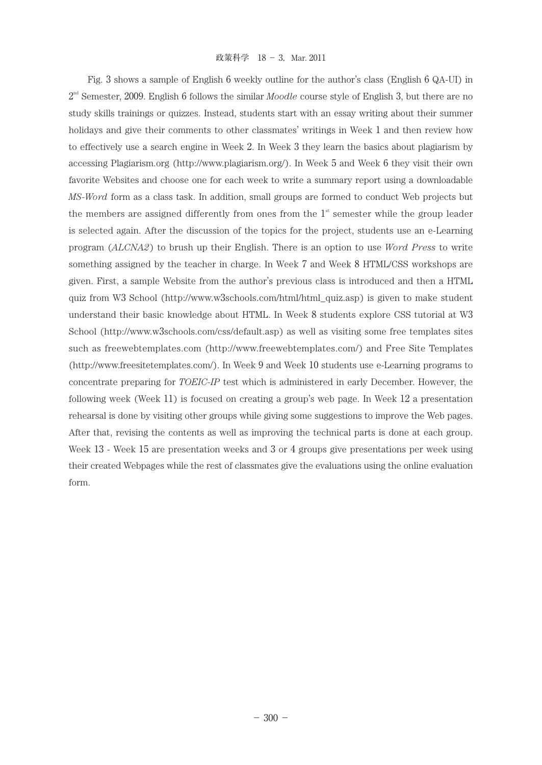Fig. 3 shows a sample of English 6 weekly outline for the author's class (English 6 QA-UI) in  $2^{nd}$  Semester, 2009. English 6 follows the similar *Moodle* course style of English 3, but there are no study skills trainings or quizzes. Instead, students start with an essay writing about their summer holidays and give their comments to other classmates' writings in Week 1 and then review how to effectively use a search engine in Week 2. In Week 3 they learn the basics about plagiarism by accessing Plagiarism.org (http://www.plagiarism.org/). In Week 5 and Week 6 they visit their own favorite Websites and choose one for each week to write a summary report using a downloadable *MS-Word* form as a class task. In addition, small groups are formed to conduct Web projects but the members are assigned differently from ones from the  $1<sup>st</sup>$  semester while the group leader is selected again. After the discussion of the topics for the project, students use an e-Learning program (*ALCNA2*) to brush up their English. There is an option to use *Word Press* to write something assigned by the teacher in charge. In Week 7 and Week 8 HTML/CSS workshops are given. First, a sample Website from the author's previous class is introduced and then a HTML quiz from W3 School (http://www.w3schools.com/html/html\_quiz.asp) is given to make student understand their basic knowledge about HTML. In Week 8 students explore CSS tutorial at W3 School (http://www.w3schools.com/css/default.asp) as well as visiting some free templates sites such as freewebtemplates.com (http://www.freewebtemplates.com/) and Free Site Templates (http://www.freesitetemplates.com/). In Week 9 and Week 10 students use e-Learning programs to concentrate preparing for *TOEIC-IP* test which is administered in early December. However, the following week (Week 11) is focused on creating a group's web page. In Week 12 a presentation rehearsal is done by visiting other groups while giving some suggestions to improve the Web pages. After that, revising the contents as well as improving the technical parts is done at each group. Week 13 - Week 15 are presentation weeks and 3 or 4 groups give presentations per week using their created Webpages while the rest of classmates give the evaluations using the online evaluation form.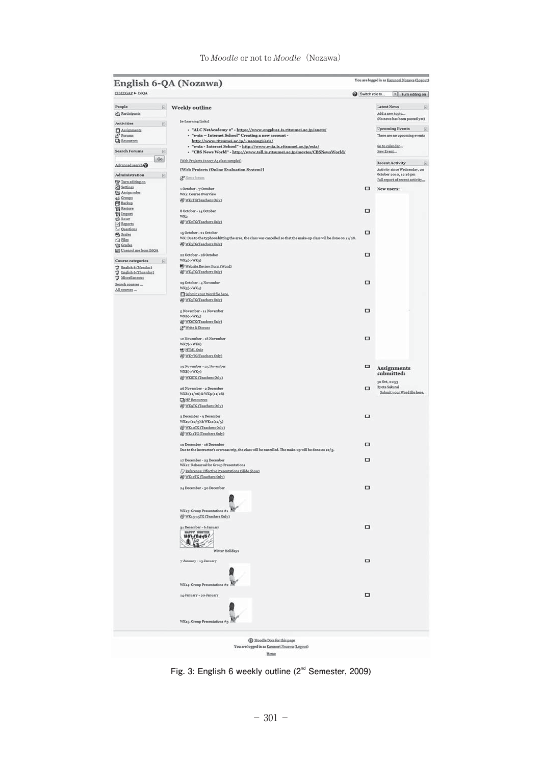| English 6-QA (Nozawa)<br>CISEEGAP > E6QA                                                                                                                        |                                                                                                                                                                          |                | You are logged in as <u>Kazunori Nozawa</u> (Logout)                        |
|-----------------------------------------------------------------------------------------------------------------------------------------------------------------|--------------------------------------------------------------------------------------------------------------------------------------------------------------------------|----------------|-----------------------------------------------------------------------------|
|                                                                                                                                                                 |                                                                                                                                                                          | Switch role to | $\vert$ Turn edting on                                                      |
| People<br>$\Xi$<br>& Participants                                                                                                                               | <b>Weekly outline</b><br>[e-Learning Links]                                                                                                                              |                | <b>Latest News</b><br>E<br>Add a new topic<br>(No news has been posted yet) |
| Activities<br>$\qquad \qquad \Box$                                                                                                                              |                                                                                                                                                                          |                | <b>Upcoming Events</b>                                                      |
| $\Box$ Assignments<br><sup>SP</sup> Eorums<br>CD Ecources                                                                                                       | - "ALC NetAcademy 2" - https://www.engplus1.is.ritsumei.ac.jp/anet2/<br>- "e-sia - Internet School" Creating a new account -<br>http://www.ritsumei.ac.jp/~naosugi/esia/ |                | $\Box$<br>There are no upcoming events                                      |
| <b>Search Forums</b><br>回                                                                                                                                       | - "e-sia - Internet School" - http://www.e-sia.is.ritsumei.ac.jp/esia/<br>- "CBS News World" - http://www.tell.is.ritsumei.ac.jp/movies/CBSNewsWorld/                    |                | Go to calendar<br>New Event                                                 |
| Go<br>Advanced search                                                                                                                                           | [Web Projects (2007 A3 class sample)]                                                                                                                                    |                | Recent Activity<br>$\boxdot$                                                |
|                                                                                                                                                                 | [Web Projects (Online Evaluation System)]                                                                                                                                |                | Activity since Wednesday, 20                                                |
| Administration<br>日<br>Turn editing on                                                                                                                          | & Neva forum                                                                                                                                                             |                | October 2010, 12:16 pm<br>Full report of recent activity                    |
| Settings<br><b>EB</b> Assign roles                                                                                                                              | 1 October - 7 October                                                                                                                                                    | α              | New users:                                                                  |
| & Groups                                                                                                                                                        | WK1: Course Overview<br>WKATG(Teachers Only)                                                                                                                             |                |                                                                             |
| <b>Ed Backup</b><br><b>Eq Eestore</b>                                                                                                                           | 8 October - 14 October                                                                                                                                                   | $\square$      |                                                                             |
| <b>Til Import</b><br>S Reset                                                                                                                                    | WKo                                                                                                                                                                      |                |                                                                             |
| - Reports<br>L: Questions                                                                                                                                       | All WK2TG(Teachers Only)                                                                                                                                                 |                |                                                                             |
| $S$ Scales<br><b>Ca</b> Eiles                                                                                                                                   | 15 October - 21 October<br>WK: Due to the typhoon hitting the area, the class was cancelled so that the make-up class will be done on 11/28.                             | □              |                                                                             |
| <b>Grades</b><br>[67] Unenrol me from E6OA                                                                                                                      | WWATGTeachers Only)                                                                                                                                                      |                |                                                                             |
| <b>Course categories</b><br>E                                                                                                                                   | 22 October - 28 October<br>WK4(->WK3)                                                                                                                                    | □              |                                                                             |
| T English 6 (Monday)<br>$\begin{tabular}{l} \hline \hline \textbf{I} & English & Gtharday1 \\ \hline \hline \textbf{I} & Missellaneous \\ \hline \end{tabular}$ | Website Review Form (Word)<br>WK4TGTeachers Only)                                                                                                                        |                |                                                                             |
| Search courses                                                                                                                                                  | 29 October - 4 November<br>WK5f->WK4)                                                                                                                                    | □              |                                                                             |
| All courses                                                                                                                                                     | Submit your Word file here.<br>A WKSTGCTeachers Only)                                                                                                                    |                |                                                                             |
|                                                                                                                                                                 | 5 November - 11 November                                                                                                                                                 | □              |                                                                             |
|                                                                                                                                                                 | WK6(->WK5)<br>WK6TGTeachers.Only1                                                                                                                                        |                |                                                                             |
|                                                                                                                                                                 | SP Write & Discuss                                                                                                                                                       |                |                                                                             |
|                                                                                                                                                                 | 12 November - 18 November                                                                                                                                                | α              |                                                                             |
|                                                                                                                                                                 | $WK\gamma(\rightarrow WK6)$<br><b>SHTMLOsiz</b>                                                                                                                          |                |                                                                             |
|                                                                                                                                                                 | A WK-TG(Teachers Only)                                                                                                                                                   |                |                                                                             |
|                                                                                                                                                                 | 19 November - 25 November                                                                                                                                                | □              | <b>Assignments</b>                                                          |
|                                                                                                                                                                 | $WKS(\rightarrow WK\gamma)$<br>All WKSTG (Teachers Only)                                                                                                                 |                | submitted:                                                                  |
|                                                                                                                                                                 | 26 November - 2 December                                                                                                                                                 | $\Box$         | 30 Oct, 21:53<br>Ryota Sakurai                                              |
|                                                                                                                                                                 | WK8 (11/26) & WK9 (11/28)<br><b>Ch</b> HP Resources                                                                                                                      |                | Submit your Word file here.                                                 |
|                                                                                                                                                                 | WKsTGfTeachers Only)                                                                                                                                                     |                |                                                                             |
|                                                                                                                                                                 | 3 December - 9 December                                                                                                                                                  | □              |                                                                             |
|                                                                                                                                                                 | WK10 (12/3) & WK11(12/5)<br>WK10TG (Teachers Only)                                                                                                                       |                |                                                                             |
|                                                                                                                                                                 | WK11TG (Teachers Only)                                                                                                                                                   |                |                                                                             |
|                                                                                                                                                                 | 10 December - 16 December<br>Due to the instructor's overseas trip, the class will be cancelled. The make-up will be done on 12/5.                                       | $\Box$         |                                                                             |
|                                                                                                                                                                 | 17 December - 23 December                                                                                                                                                | $\Box$         |                                                                             |
|                                                                                                                                                                 | WK12: Rehearsal for Group Presentations<br>Reference: Effective Presentations (Slide Show)                                                                               |                |                                                                             |
|                                                                                                                                                                 | WWATC (Teachers Only)                                                                                                                                                    |                |                                                                             |
|                                                                                                                                                                 | 24 December - 30 December                                                                                                                                                | □              |                                                                             |
|                                                                                                                                                                 |                                                                                                                                                                          |                |                                                                             |
|                                                                                                                                                                 | WK13: Group Presentations #1<br>WK13-15TG (Teachers Only)                                                                                                                |                |                                                                             |
|                                                                                                                                                                 | 31 December - 6 January                                                                                                                                                  | □              |                                                                             |
|                                                                                                                                                                 | <b>HOLIDAYS!</b>                                                                                                                                                         |                |                                                                             |
|                                                                                                                                                                 | 11                                                                                                                                                                       |                |                                                                             |
|                                                                                                                                                                 | Winter Holidays                                                                                                                                                          |                |                                                                             |
|                                                                                                                                                                 | 7 January - 13 January                                                                                                                                                   | $\Box$         |                                                                             |
|                                                                                                                                                                 |                                                                                                                                                                          |                |                                                                             |
|                                                                                                                                                                 | WK14: Group Presentations #                                                                                                                                              |                |                                                                             |
|                                                                                                                                                                 | 14 January - 20 January                                                                                                                                                  | $\Box$         |                                                                             |
|                                                                                                                                                                 |                                                                                                                                                                          |                |                                                                             |
|                                                                                                                                                                 | WK15: Group Presentations #3                                                                                                                                             |                |                                                                             |
|                                                                                                                                                                 |                                                                                                                                                                          |                |                                                                             |
|                                                                                                                                                                 | 1 Moodle Docs for this page                                                                                                                                              |                |                                                                             |
|                                                                                                                                                                 | You are logged in as Kamnori Nozawa (Logout)<br>Home                                                                                                                     |                |                                                                             |

**Fig. 3: English 6 weekly outline (2nd Semester, 2009)**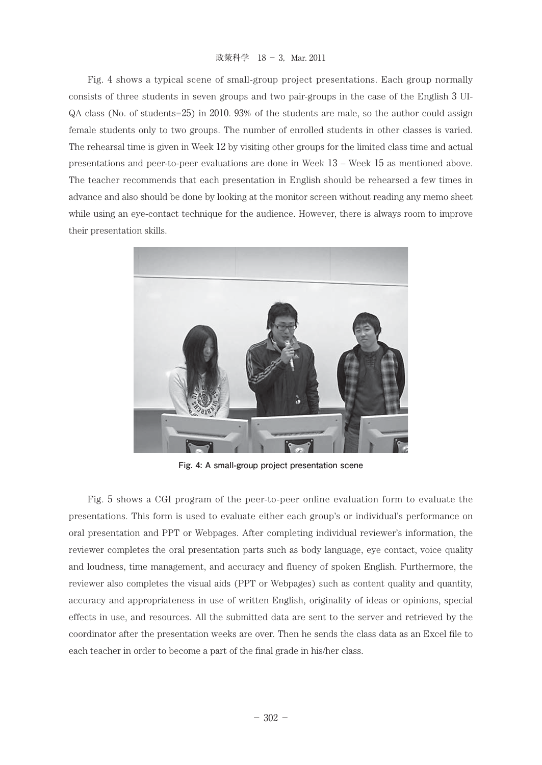#### 政策科学 18 - 3, Mar. 2011

Fig. 4 shows a typical scene of small-group project presentations. Each group normally consists of three students in seven groups and two pair-groups in the case of the English 3 UI-QA class (No. of students=25) in 2010. 93% of the students are male, so the author could assign female students only to two groups. The number of enrolled students in other classes is varied. The rehearsal time is given in Week 12 by visiting other groups for the limited class time and actual presentations and peer-to-peer evaluations are done in Week 13 – Week 15 as mentioned above. The teacher recommends that each presentation in English should be rehearsed a few times in advance and also should be done by looking at the monitor screen without reading any memo sheet while using an eye-contact technique for the audience. However, there is always room to improve their presentation skills.



**Fig. 4: A small-group project presentation scene**

Fig. 5 shows a CGI program of the peer-to-peer online evaluation form to evaluate the presentations. This form is used to evaluate either each group's or individual's performance on oral presentation and PPT or Webpages. After completing individual reviewer's information, the reviewer completes the oral presentation parts such as body language, eye contact, voice quality and loudness, time management, and accuracy and fluency of spoken English. Furthermore, the reviewer also completes the visual aids (PPT or Webpages) such as content quality and quantity, accuracy and appropriateness in use of written English, originality of ideas or opinions, special effects in use, and resources. All the submitted data are sent to the server and retrieved by the coordinator after the presentation weeks are over. Then he sends the class data as an Excel file to each teacher in order to become a part of the final grade in his/her class.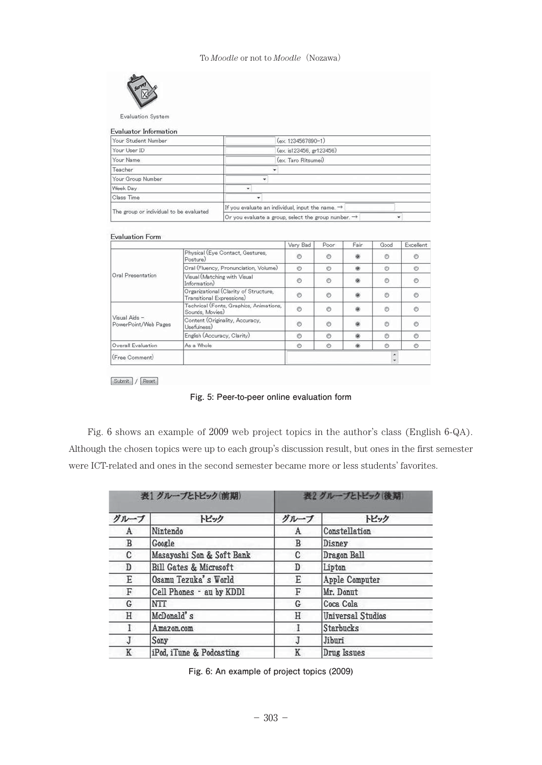

Evaluation System

| Your Student Number                     | $(ex. 1234567890-1)$                                            |   |
|-----------------------------------------|-----------------------------------------------------------------|---|
| Your User ID                            | (ex. is123456, gr123456)                                        |   |
| Your Name                               | (ex Taro Ritsumei)                                              |   |
| Teacher                                 |                                                                 |   |
| Your Group Number                       |                                                                 |   |
| Week Day                                |                                                                 |   |
| Class Time                              | ٠                                                               |   |
| The group or individual to be evaluated | If you evaluate an individual, input the name. $\rightarrow$    |   |
|                                         | Or you evaluate a group, select the group number. $\rightarrow$ | ٠ |

#### Evaluation Form

|                                       |                                                                    | Very Bad       | Poor    | Fair           | Good          | Excellent |
|---------------------------------------|--------------------------------------------------------------------|----------------|---------|----------------|---------------|-----------|
|                                       | Physical (Eye Contact, Gestures,<br>Posture)                       | $\circ$        | $\circ$ | $\circledcirc$ | $\circ$       | Õ         |
|                                       | Oral (Fluency, Pronunciation, Volume)                              | $\circ$        | e       | $\circ$        | $\circ$       | $\circ$   |
| Oral Presentation                     | Visual (Matching with Visual<br>Information)                       | $\circ$        | $\circ$ | $\circledcirc$ | $\circ$       | $\odot$   |
|                                       | Organizational (Clarity of Structure,<br>Transitional Expressions) | $\circ$        | $\circ$ | $\circledcirc$ | $\odot$       | O         |
|                                       | Technical (Fonts, Graphics, Animations,<br>Sounds, Movies)         | $\ddot{\circ}$ | $\circ$ | $\circledcirc$ | $\odot$       | $\odot$   |
| Visual Aids -<br>PowerPoint/Web Pages | Content (Originality, Accuracy,<br>Usefulness)                     | $\circ$        | $\circ$ | $\circledcirc$ | $\odot$       | $\circ$   |
|                                       | English (Accuracy, Clarity)                                        | $\circ$        | $\circ$ | $\circledcirc$ | $\mathcal{O}$ | $\circ$   |
| Overall Evaluation                    | As a Whole                                                         | $\circ$        | $\odot$ | $\circledcirc$ | Ø.            | $\odot$   |
| (Free Comment)                        |                                                                    |                |         |                |               |           |

 $\fbox{Submit} \atop \text{Submit} \quad \mathcal{N} \quad \text{Reset}$ 

**Fig. 5: Peer-to-peer online evaluation form**

Fig. 6 shows an example of 2009 web project topics in the author's class (English 6-QA). Although the chosen topics were up to each group's discussion result, but ones in the first semester were ICT-related and ones in the second semester became more or less students' favorites.

| 表1グループとトピック(前期) |                                   |      | 表2グループとトピック(後期)          |
|-----------------|-----------------------------------|------|--------------------------|
| グループ            | トピック                              | グループ | トピック                     |
| $\mathbf{A}$    | Nintendo                          | A    | Constellation            |
| B               | Google                            | B    | Disney                   |
| C               | Masayoshi Son & Soft Bank         | C    | Dragon Ball              |
| D               | <b>Bill Gates &amp; Microsoft</b> | D    | Lipton                   |
| E               | Osamu Tezuka's World              | E    | Apple Computer           |
| F               | Cell Phones - au by KDDI          | F    | Mr. Donut                |
| G               | <b>NTT</b>                        | G    | Coca Cola                |
| Н               | McDonald's                        | Н    | <b>Universal Studios</b> |
| 1               | Amazon.com                        | 1    | <b>Starbucks</b>         |
| J               | Sony                              | J    | Jiburi                   |
| K               | iPod, iTune & Podcasting          | K    | Drug Issues              |

**Fig. 6: An example of project topics (2009)**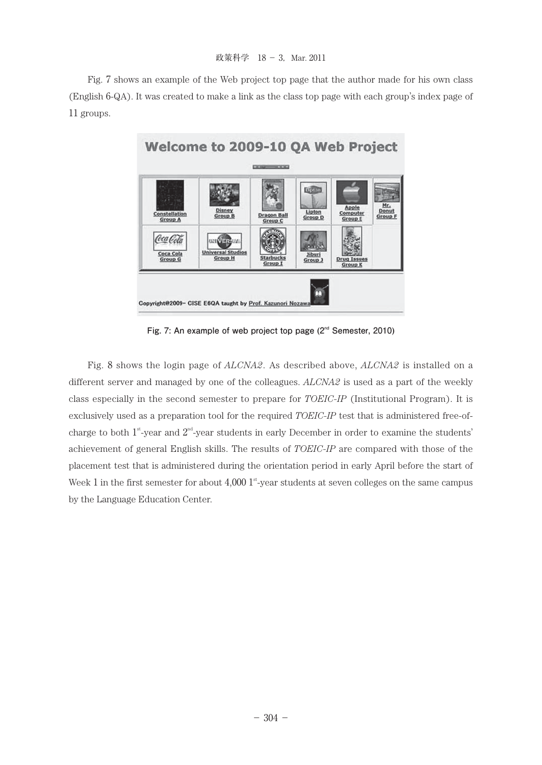Fig. 7 shows an example of the Web project top page that the author made for his own class (English 6-QA). It was created to make a link as the class top page with each group's index page of 11 groups.



Fig. 7: An example of web project top page (2<sup>nd</sup> Semester, 2010)

Fig. 8 shows the login page of *ALCNA2*. As described above, *ALCNA2* is installed on a different server and managed by one of the colleagues. *ALCNA2* is used as a part of the weekly class especially in the second semester to prepare for *TOEIC-IP* (Institutional Program). It is exclusively used as a preparation tool for the required *TOEIC-IP* test that is administered free-ofcharge to both  $1^{st}$ -year and  $2^{nd}$ -year students in early December in order to examine the students' achievement of general English skills. The results of *TOEIC-IP* are compared with those of the placement test that is administered during the orientation period in early April before the start of Week 1 in the first semester for about  $4,000$  1<sup>st</sup>-year students at seven colleges on the same campus by the Language Education Center.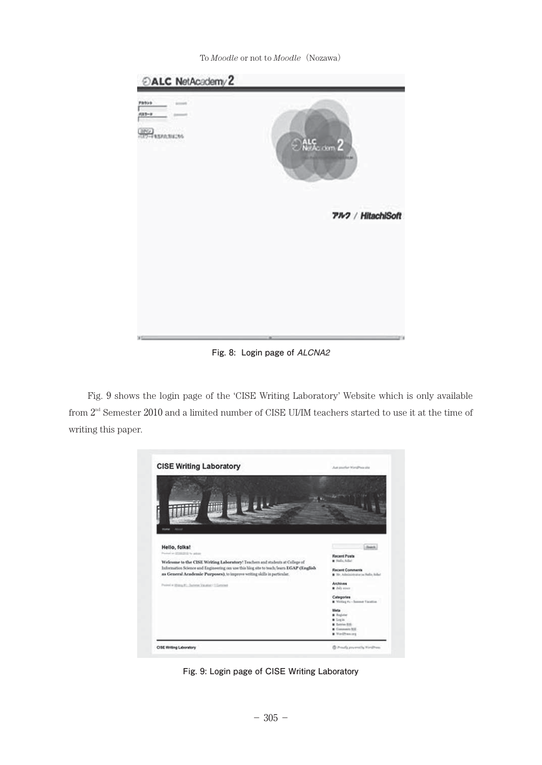To *Moodle* or not to *Moodle*(Nozawa)



**Fig. 8: Login page of** *ALCNA2*

Fig. 9 shows the login page of the 'CISE Writing Laboratory' Website which is only available from  $2<sup>nd</sup>$  Semester 2010 and a limited number of CISE UI/IM teachers started to use it at the time of writing this paper.



**Fig. 9: Login page of CISE Writing Laboratory**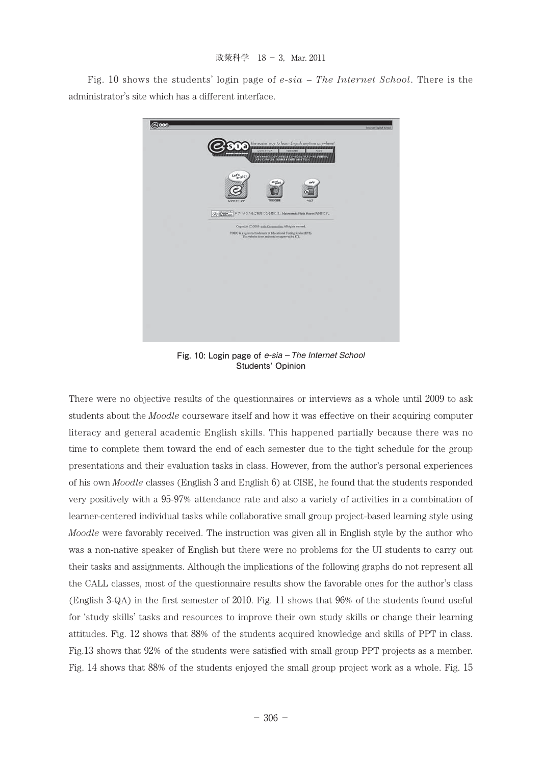Fig. 10 shows the students' login page of *e-sia – The Internet School*. There is the administrator's site which has a different interface.



**Fig. 10: Login page of** *e-sia – The Internet School* **Students' Opinion**

There were no objective results of the questionnaires or interviews as a whole until 2009 to ask students about the *Moodle* courseware itself and how it was effective on their acquiring computer literacy and general academic English skills. This happened partially because there was no time to complete them toward the end of each semester due to the tight schedule for the group presentations and their evaluation tasks in class. However, from the author's personal experiences of his own *Moodle* classes (English 3 and English 6) at CISE, he found that the students responded very positively with a 95-97% attendance rate and also a variety of activities in a combination of learner-centered individual tasks while collaborative small group project-based learning style using *Moodle* were favorably received. The instruction was given all in English style by the author who was a non-native speaker of English but there were no problems for the UI students to carry out their tasks and assignments. Although the implications of the following graphs do not represent all the CALL classes, most of the questionnaire results show the favorable ones for the author's class (English 3-QA) in the first semester of 2010. Fig. 11 shows that 96% of the students found useful for 'study skills' tasks and resources to improve their own study skills or change their learning attitudes. Fig. 12 shows that 88% of the students acquired knowledge and skills of PPT in class. Fig.13 shows that 92% of the students were satisfied with small group PPT projects as a member. Fig. 14 shows that 88% of the students enjoyed the small group project work as a whole. Fig. 15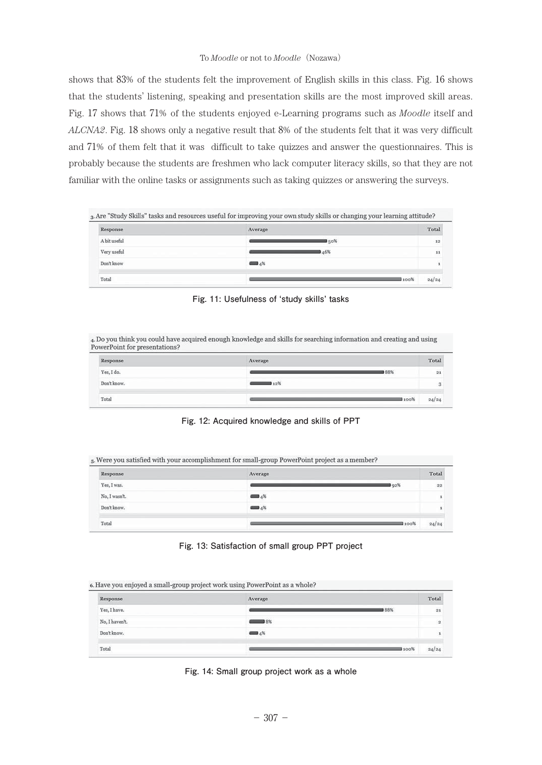#### To *Moodle* or not to *Moodle*(Nozawa)

shows that 83% of the students felt the improvement of English skills in this class. Fig. 16 shows that the students' listening, speaking and presentation skills are the most improved skill areas. Fig. 17 shows that 71% of the students enjoyed e-Learning programs such as *Moodle* itself and *ALCNA2*. Fig. 18 shows only a negative result that 8% of the students felt that it was very difficult and 71% of them felt that it was difficult to take quizzes and answer the questionnaires. This is probably because the students are freshmen who lack computer literacy skills, so that they are not familiar with the online tasks or assignments such as taking quizzes or answering the surveys.

| Response     | Average              | Total |
|--------------|----------------------|-------|
| A bit useful | 150%                 | 12    |
| Very useful  | 46%                  | 11    |
| Don't know   | $\blacksquare$ $4\%$ | ٠     |

**Fig. 11: Usefulness of ʻstudy skills' tasks**

4. Do you think you could have acquired enough knowledge and skills for searching information and creating and using PowerPoint for presentations?

| and the company's company's com-<br>Response | Average | Total           |
|----------------------------------------------|---------|-----------------|
| Yes, I do.                                   | 188%    | $\overline{21}$ |
| Don't know.                                  | 12%     | $^{48}$<br>ు    |
| Total                                        | I 100%  | 24/24           |

**Fig. 12: Acquired knowledge and skills of PPT**

5. Were you satisfied with your accomplishment for small-group PowerPoint project as a member?

| Response      | Average           |       | Total |
|---------------|-------------------|-------|-------|
| Yes, I was.   |                   | l 92% | 22    |
| No, I wasn't. | $\blacksquare$ 4% |       |       |
| Don't know.   | ---<br>$4\%$      |       |       |
| Total         |                   | 100%  | 24/24 |

**Fig. 13: Satisfaction of small group PPT project**

6. Have vou enjoyed a small-group project work using PowerPoint as a whole?

| Response       | Average              |      | Total                    |
|----------------|----------------------|------|--------------------------|
| Yes, I have.   |                      | 88%  | 21                       |
| No, I haven't. | $\longrightarrow$ 8% |      | $\overline{\phantom{a}}$ |
| Don't know.    | $\blacksquare$ 4%    |      | 1                        |
| Total          |                      | 100% | 24/24                    |

**Fig. 14: Small group project work as a whole**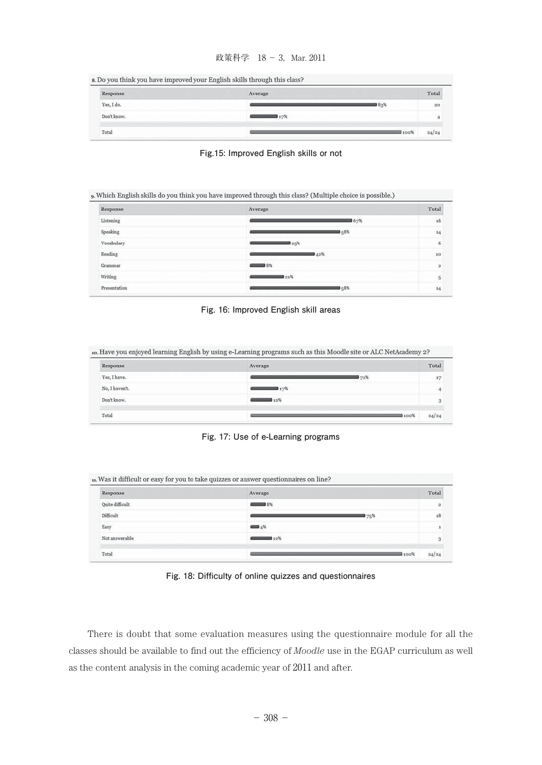# 政策科学 18 - 3, Mar. 2011

| s. Do you think you have improved your English skills through this class? |  |  |  |  |  |  |  |  |
|---------------------------------------------------------------------------|--|--|--|--|--|--|--|--|
|---------------------------------------------------------------------------|--|--|--|--|--|--|--|--|

| Response    | Average | Total         |
|-------------|---------|---------------|
| Yes, I do.  | 183%    | 20            |
| Don't know. | 4723    |               |
| Total       |         | 100%<br>24/24 |



| Response     | Average                     | Total                   |
|--------------|-----------------------------|-------------------------|
| Listening    |                             | 16<br>67%               |
| Speaking     | 158%                        | 14                      |
| Vocabulary   | 25%                         | 6                       |
| Reading      | 42%                         | 10                      |
| Grammar      | $\overline{\phantom{1}}$ 8% | $\overline{\mathbf{2}}$ |
| Writing      | 321%                        | 5                       |
| Presentation | 158%                        | 14                      |



10. Have you enjoyed learning English by using e-Learning programs such as this Moodle site or ALC NetAcademy 2?

| Response       | Average    | Total |
|----------------|------------|-------|
| Yes, I have.   | 71%        | 17    |
| No, I haven't. | 17%        | 4     |
| Don't know.    | 12%<br>--- | 3     |
| Total          | 100%       | 24/24 |

#### **Fig. 17: Use of e-Learning programs**

| Response        | Average | Total        |
|-----------------|---------|--------------|
| Quite difficult | 8%      | $\mathbf{z}$ |
| Difficult       |         | 175%<br>18   |
| Easy            | $=4%$   |              |
| Not answerable  | 12%     | 3            |

**Fig. 18: Difficulty of online quizzes and questionnaires**

There is doubt that some evaluation measures using the questionnaire module for all the classes should be available to find out the efficiency of *Moodle* use in the EGAP curriculum as well as the content analysis in the coming academic year of 2011 and after.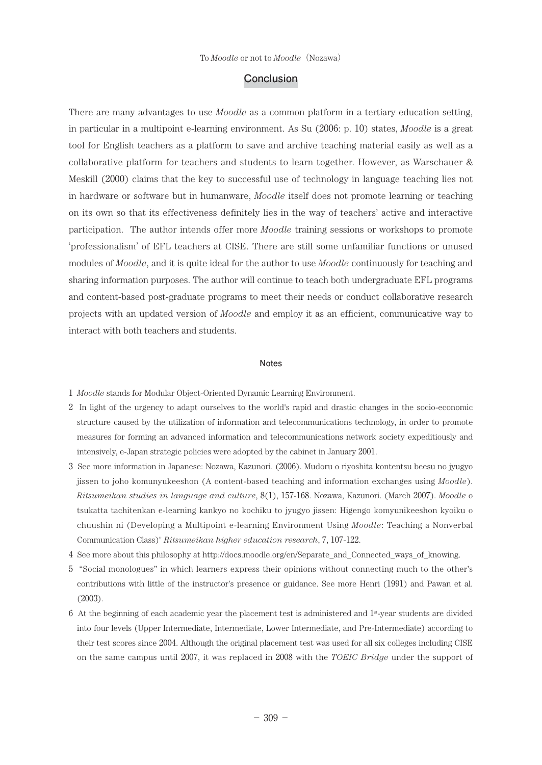#### **Conclusion**

There are many advantages to use *Moodle* as a common platform in a tertiary education setting, in particular in a multipoint e-learning environment. As Su (2006: p. 10) states, *Moodle* is a great tool for English teachers as a platform to save and archive teaching material easily as well as a collaborative platform for teachers and students to learn together. However, as Warschauer & Meskill (2000) claims that the key to successful use of technology in language teaching lies not in hardware or software but in humanware, *Moodle* itself does not promote learning or teaching on its own so that its effectiveness definitely lies in the way of teachers' active and interactive participation. The author intends offer more *Moodle* training sessions or workshops to promote 'professionalism' of EFL teachers at CISE. There are still some unfamiliar functions or unused modules of *Moodle*, and it is quite ideal for the author to use *Moodle* continuously for teaching and sharing information purposes. The author will continue to teach both undergraduate EFL programs and content-based post-graduate programs to meet their needs or conduct collaborative research projects with an updated version of *Moodle* and employ it as an efficient, communicative way to interact with both teachers and students.

#### **Notes**

- 1 *Moodle* stands for Modular Object-Oriented Dynamic Learning Environment.
- 2 In light of the urgency to adapt ourselves to the world's rapid and drastic changes in the socio-economic structure caused by the utilization of information and telecommunications technology, in order to promote measures for forming an advanced information and telecommunications network society expeditiously and intensively, e-Japan strategic policies were adopted by the cabinet in January 2001.
- 3 See more information in Japanese: Nozawa, Kazunori. (2006). Mudoru o riyoshita kontentsu beesu no jyugyo jissen to joho komunyukeeshon (A content-based teaching and information exchanges using *Moodle*). *Ritsumeikan studies in language and culture*, 8(1), 157-168. Nozawa, Kazunori. (March 2007). *Moodle* o tsukatta tachitenkan e-learning kankyo no kochiku to jyugyo jissen: Higengo komyunikeeshon kyoiku o chuushin ni (Developing a Multipoint e-learning Environment Using *Moodle*: Teaching a Nonverbal Communication Class)" *Ritsumeikan higher education research*, 7, 107-122.
- 4 See more about this philosophy at http://docs.moodle.org/en/Separate\_and\_Connected\_ways\_of\_knowing.
- 5 "Social monologues" in which learners express their opinions without connecting much to the other's contributions with little of the instructor's presence or guidance. See more Henri (1991) and Pawan et al. (2003).
- $6$  At the beginning of each academic year the placement test is administered and  $1<sup>s</sup>$ -year students are divided into four levels (Upper Intermediate, Intermediate, Lower Intermediate, and Pre-Intermediate) according to their test scores since 2004. Although the original placement test was used for all six colleges including CISE on the same campus until 2007, it was replaced in 2008 with the *TOEIC Bridge* under the support of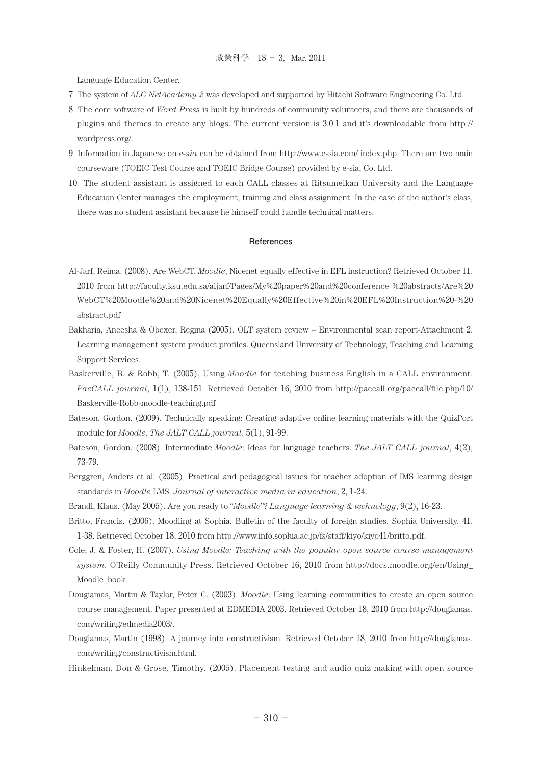Language Education Center.

- 7 The system of *ALC NetAcademy 2* was developed and supported by Hitachi Software Engineering Co. Ltd.
- 8 The core software of *Word Press* is built by hundreds of community volunteers, and there are thousands of plugins and themes to create any blogs. The current version is 3.0.1 and it's downloadable from http:// wordpress.org/.
- 9 Information in Japanese on *e-sia* can be obtained from http://www.e-sia.com/ index.php. There are two main courseware (TOEIC Test Course and TOEIC Bridge Course) provided by e-sia, Co. Ltd.
- 10 The student assistant is assigned to each CALL classes at Ritsumeikan University and the Language Education Center manages the employment, training and class assignment. In the case of the author's class, there was no student assistant because he himself could handle technical matters.

#### **References**

- Al-Jarf, Reima. (2008). Are WebCT, *Moodle*, Nicenet equally effective in EFL instruction? Retrieved October 11, 2010 from http://faculty.ksu.edu.sa/aljarf/Pages/My%20paper%20and%20conference %20abstracts/Are%20 WebCT%20Moodle%20and%20Nicenet%20Equally%20Effective%20in%20EFL%20Instruction%20-%20 abstract.pdf
- Bakharia, Aneesha & Obexer, Regina (2005). OLT system review Environmental scan report-Attachment 2: Learning management system product profiles. Queensland University of Technology, Teaching and Learning Support Services.
- Baskerville, B. & Robb, T. (2005). Using *Moodle* for teaching business English in a CALL environment. *PacCALL journal*, 1(1), 138-151. Retrieved October 16, 2010 from http://paccall.org/paccall/file.php/10/ Baskerville-Robb-moodle-teaching.pdf
- Bateson, Gordon. (2009). Technically speaking: Creating adaptive online learning materials with the QuizPort module for *Moodle*. *The JALT CALL journal*, 5(1), 91-99.
- Bateson, Gordon. (2008). Intermediate *Moodle*: Ideas for language teachers. *The JALT CALL journal*, 4(2), 73-79.
- Berggren, Anders et al. (2005). Practical and pedagogical issues for teacher adoption of IMS learning design standards in *Moodle* LMS. *Journal of interactive media in education*, 2, 1-24.
- Brandl, Klaus. (May 2005). Are you ready to "*Moodle*"? *Language learning & technology*, 9(2), 16-23.
- Britto, Francis. (2006). Moodling at Sophia. Bulletin of the faculty of foreign studies, Sophia University, 41, 1-38. Retrieved October 18, 2010 from http://www.info.sophia.ac.jp/fs/staff/kiyo/kiyo41/britto.pdf.
- Cole, J. & Foster, H. (2007). *Using Moodle: Teaching with the popular open source course management system*. O'Reilly Community Press. Retrieved October 16, 2010 from http://docs.moodle.org/en/Using\_ Moodle\_book.
- Dougiamas, Martin & Taylor, Peter C. (2003). *Moodle*: Using learning communities to create an open source course management. Paper presented at EDMEDIA 2003. Retrieved October 18, 2010 from http://dougiamas. com/writing/edmedia2003/.
- Dougiamas, Martin (1998). A journey into constructivism. Retrieved October 18, 2010 from http://dougiamas. com/writing/constructivism.html.

Hinkelman, Don & Grose, Timothy. (2005). Placement testing and audio quiz making with open source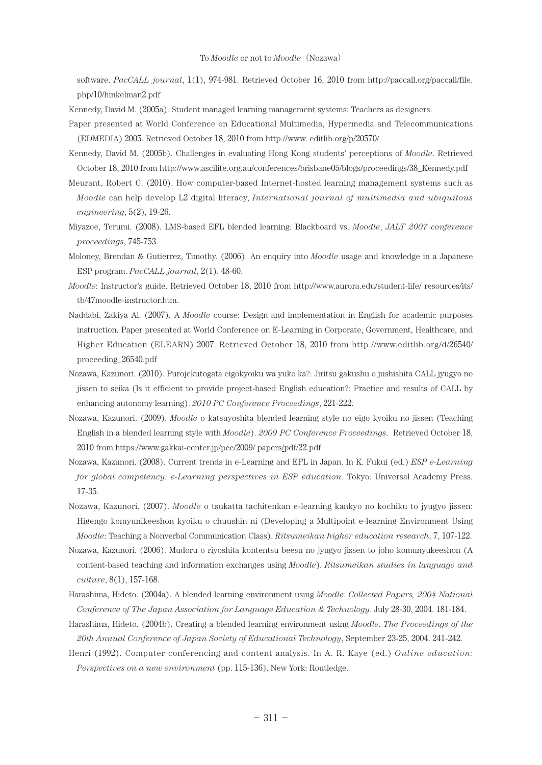software. *PacCALL journal*, 1(1), 974-981. Retrieved October 16, 2010 from http://paccall.org/paccall/file. php/10/hinkelman2.pdf

Kennedy, David M. (2005a). Student managed learning management systems: Teachers as designers.

- Paper presented at World Conference on Educational Multimedia, Hypermedia and Telecommunications (EDMEDIA) 2005. Retrieved October 18, 2010 from http://www. editlib.org/p/20570/.
- Kennedy, David M. (2005b). Challenges in evaluating Hong Kong students' perceptions of *Moodle*. Retrieved October 18, 2010 from http://www.ascilite.org.au/conferences/brisbane05/blogs/proceedings/38\_Kennedy.pdf
- Meurant, Robert C. (2010). How computer-based Internet-hosted learning management systems such as *Moodle* can help develop L2 digital literacy, *International journal of multimedia and ubiquitous engineering*, 5(2), 19-26.
- Miyazoe, Terumi. (2008). LMS-based EFL blended learning: Blackboard vs. *Moodle*, *JALT 2007 conference proceedings*, 745-753.
- Moloney, Brendan & Gutierrez, Timothy. (2006). An enquiry into *Moodle* usage and knowledge in a Japanese ESP program. *PacCALL journal*, 2(1), 48-60.
- *Moodle*: Instructor's guide. Retrieved October 18, 2010 from http://www.aurora.edu/student-life/ resources/its/ tb/47moodle-instructor.htm.
- Naddabi, Zakiya Al. (2007). A *Moodle* course: Design and implementation in English for academic purposes instruction. Paper presented at World Conference on E-Learning in Corporate, Government, Healthcare, and Higher Education (ELEARN) 2007. Retrieved October 18, 2010 from http://www.editlib.org/d/26540/ proceeding\_26540.pdf
- Nozawa, Kazunori. (2010). Purojekutogata eigokyoiku wa yuko ka?: Jiritsu gakushu o jushishita CALL jyugyo no jissen to seika (Is it efficient to provide project-based English education?: Practice and results of CALL by enhancing autonomy learning). *2010 PC Conference Proceedings*, 221-222.
- Nozawa, Kazunori. (2009). *Moodle* o katsuyoshita blended learning style no eigo kyoiku no jissen (Teaching English in a blended learning style with *Moodle*). *2009 PC Conference Proceedings*. Retrieved October 18, 2010 from https://www.gakkai-center.jp/pcc/2009/ papers/pdf/22.pdf
- Nozawa, Kazunori. (2008). Current trends in e-Learning and EFL in Japan. In K. Fukui (ed.) *ESP e-Learning for global competency: e-Learning perspectives in ESP education*. Tokyo: Universal Academy Press. 17-35.
- Nozawa, Kazunori. (2007). *Moodle* o tsukatta tachitenkan e-learning kankyo no kochiku to jyugyo jissen: Higengo komyunikeeshon kyoiku o chuushin ni (Developing a Multipoint e-learning Environment Using *Moodle*: Teaching a Nonverbal Communication Class). *Ritsumeikan higher education research*, 7, 107-122.
- Nozawa, Kazunori. (2006). Mudoru o riyoshita kontentsu beesu no jyugyo jissen to joho komunyukeeshon (A content-based teaching and information exchanges using *Moodle*). *Ritsumeikan studies in language and culture*, 8(1), 157-168.
- Harashima, Hideto. (2004a). A blended learning environment using *Moodle*. *Collected Papers, 2004 National Conference of The Japan Association for Language Education & Technology*. July 28-30, 2004. 181-184.
- Harashima, Hideto. (2004b). Creating a blended learning environment using *Moodle*. *The Proceedings of the 20th Annual Conference of Japan Society of Educational Technology*, September 23-25, 2004. 241-242.
- Henri (1992). Computer conferencing and content analysis. In A. R. Kaye (ed.) *Online education: Perspectives on a new environment* (pp. 115-136). New York: Routledge.